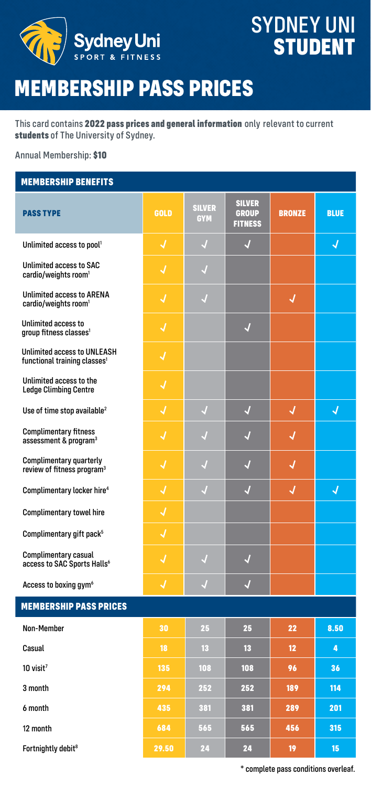

### **SYDNEY UNI STUDENT**

# **MEMBERSHIP PASS PRICES**

This card contains **2022 pass prices and general information** only relevant to current **students** of The University of Sydney.

Annual Membership: **\$10**

#### **MEMBERSHIP BENEFITS**

| <b>PASS TYPE</b>                                                               | <b>GOLD</b> | <b>SILVER</b><br><b>GYM</b> | <b>SILVER</b><br><b>GROUP</b><br><b>FITNESS</b> | <b>BRONZE</b> | <b>BLUE</b> |
|--------------------------------------------------------------------------------|-------------|-----------------------------|-------------------------------------------------|---------------|-------------|
| Unlimited access to pool <sup>1</sup>                                          | J           | $\sqrt{ }$                  | J                                               |               | $\sqrt{2}$  |
| <b>Unlimited access to SAC</b><br>cardio/weights room <sup>1</sup>             | J           | J                           |                                                 |               |             |
| <b>Unlimited access to ARENA</b><br>cardio/weights room <sup>1</sup>           | √           | √                           |                                                 | √             |             |
| Unlimited access to<br>group fitness classes <sup>1</sup>                      | J           |                             | $\overline{\mathcal{A}}$                        |               |             |
| <b>Unlimited access to UNLEASH</b><br>functional training classes <sup>1</sup> | J           |                             |                                                 |               |             |
| Unlimited access to the<br><b>Ledge Climbing Centre</b>                        | J           |                             |                                                 |               |             |
| Use of time stop available <sup>2</sup>                                        | J           | J                           | J                                               | J             | J           |
| <b>Complimentary fitness</b><br>assessment & program <sup>3</sup>              | J           | J                           | √                                               | √             |             |
| <b>Complimentary quarterly</b><br>review of fitness program <sup>3</sup>       | √           |                             | √                                               | √             |             |
| Complimentary locker hire <sup>4</sup>                                         | J           | M                           | J                                               | J             | J           |
| <b>Complimentary towel hire</b>                                                | J           |                             |                                                 |               |             |
| Complimentary gift pack <sup>5</sup>                                           | J           |                             |                                                 |               |             |
| Complimentary casual<br>access to SAC Sports Halls <sup>6</sup>                | J           | J                           | J                                               |               |             |
| Access to boxing gym <sup>6</sup>                                              | J           | J                           | J                                               |               |             |
| <b>MEMBERSHIP PASS PRICES</b>                                                  |             |                             |                                                 |               |             |
| Non-Member                                                                     | 30          | 25                          | 25                                              | 22            | 8.50        |
| Casual                                                                         | 18          | 13                          | 13                                              | 12            | 4           |
| $10$ visit <sup>7</sup>                                                        | 135         | 108                         | 108                                             | 96            | 36          |
| 3 month                                                                        | 294         | 252                         | 252                                             | 189           | 114         |
| 6 month                                                                        | 435         | 381                         | 381                                             | 289           | 201         |
| 12 month                                                                       | 684         | 565                         | 565                                             | 456           | 315         |
| Fortnightly debit <sup>8</sup>                                                 | 29.50       | 24                          | 24                                              | 19            | 15          |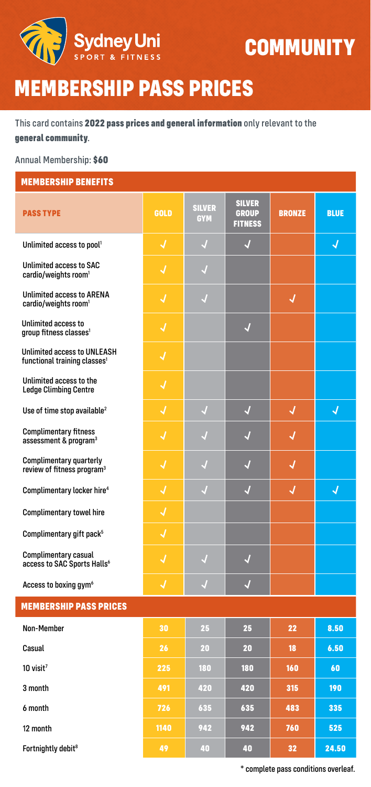

### **COMMUNITY**

### **MEMBERSHIP PASS PRICES**

This card contains **2022 pass prices and general information** only relevant to the **general community**.

Annual Membership: **\$60**

| <b>MEMBERSHIP BENEFITS</b>                                                     |             |                             |                                                 |               |             |
|--------------------------------------------------------------------------------|-------------|-----------------------------|-------------------------------------------------|---------------|-------------|
| <b>PASS TYPE</b>                                                               | <b>GOLD</b> | <b>SILVER</b><br><b>GYM</b> | <b>SILVER</b><br><b>GROUP</b><br><b>FITNESS</b> | <b>BRONZE</b> | <b>BLUE</b> |
| Unlimited access to pool <sup>1</sup>                                          | J           | $\sqrt{ }$                  | J                                               |               | √           |
| Unlimited access to SAC<br>cardio/weights room <sup>1</sup>                    | √           | √                           |                                                 |               |             |
| <b>Unlimited access to ARENA</b><br>cardio/weights room <sup>1</sup>           | √           | $\sqrt{ }$                  |                                                 | 4             |             |
| Unlimited access to<br>group fitness classes <sup>1</sup>                      | J           |                             | $\overline{\mathcal{A}}$                        |               |             |
| <b>Unlimited access to UNLEASH</b><br>functional training classes <sup>1</sup> | √           |                             |                                                 |               |             |
| Unlimited access to the<br><b>Ledge Climbing Centre</b>                        | √           |                             |                                                 |               |             |
| Use of time stop available <sup>2</sup>                                        | J           | $\sqrt{ }$                  | $\sqrt{2}$                                      | √             | J           |
| <b>Complimentary fitness</b><br>assessment & program <sup>3</sup>              | √           |                             | J                                               | √             |             |
| Complimentary quarterly<br>review of fitness program <sup>3</sup>              | J           | J                           | J                                               | J             |             |
| Complimentary locker hire <sup>4</sup>                                         | J           | J                           | J                                               | √             | J           |
| <b>Complimentary towel hire</b>                                                | J           |                             |                                                 |               |             |
| Complimentary gift pack <sup>5</sup>                                           | √           |                             |                                                 |               |             |
| Complimentary casual<br>access to SAC Sports Halls <sup>6</sup>                | √           | J                           | √                                               |               |             |
| Access to boxing gym <sup>6</sup>                                              | √           | J                           | $\sqrt{2}$                                      |               |             |
| <b>MEMBERSHIP PASS PRICES</b>                                                  |             |                             |                                                 |               |             |
| Non-Member                                                                     | 30          | 25                          | 25                                              | 22            | 8.50        |
| Casual                                                                         | 26          | 20                          | 20                                              | 18            | 6.50        |
| $10$ visit <sup>7</sup>                                                        | 225         | 180                         | 180                                             | 160           | 60          |
| 3 month                                                                        | 491         | 420                         | 420                                             | 315           | 190         |
| 6 month                                                                        | 726         | 635                         | 635                                             | 483           | 335         |
| 12 month                                                                       | 1140        | 942                         | 942                                             | 760           | 525         |
| Fortnightly debit <sup>8</sup>                                                 | 49          | 40                          | 40                                              | 32            | 24.50       |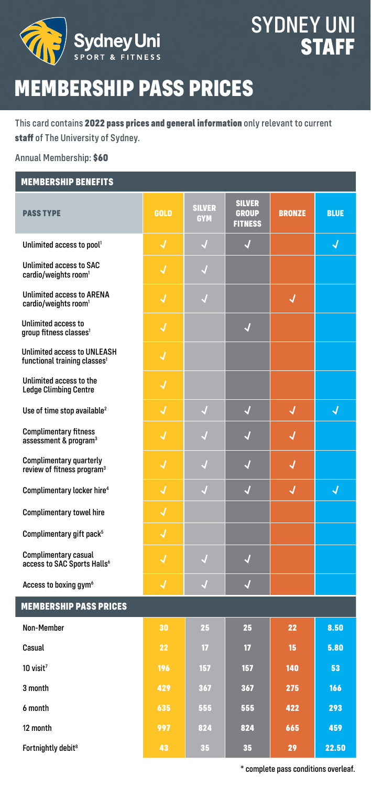

### SYDNEY UNI **STAFF**

# **MEMBERSHIP PASS PRICES**

This card contains **2022 pass prices and general information** only relevant to current **staff** of The University of Sydney.

Annual Membership: **\$60**

#### **MEMBERSHIP BENEFITS**

| <b>PASS TYPE</b>                                                               | <b>GOLD</b> | <b>SILVER</b><br><b>GYM</b> | <b>SILVER</b><br><b>GROUP</b><br><b>FITNESS</b> | <b>BRONZE</b> | <b>BLUE</b> |
|--------------------------------------------------------------------------------|-------------|-----------------------------|-------------------------------------------------|---------------|-------------|
| Unlimited access to pool <sup>1</sup>                                          | J           | J                           | J                                               |               | J           |
| <b>Unlimited access to SAC</b><br>cardio/weights room <sup>1</sup>             | J           | $\overline{\mathcal{A}}$    |                                                 |               |             |
| <b>Unlimited access to ARENA</b><br>cardio/weights room <sup>1</sup>           | √           | √                           |                                                 | √             |             |
| Unlimited access to<br>group fitness classes <sup>1</sup>                      | √           |                             | √                                               |               |             |
| <b>Unlimited access to UNLEASH</b><br>functional training classes <sup>1</sup> | J           |                             |                                                 |               |             |
| Unlimited access to the<br><b>Ledge Climbing Centre</b>                        | J           |                             |                                                 |               |             |
| Use of time stop available <sup>2</sup>                                        | J           | $\sqrt{ }$                  | J                                               | J             | J           |
| <b>Complimentary fitness</b><br>assessment & program <sup>3</sup>              | √           | $\sqrt{ }$                  | √                                               | √             |             |
| <b>Complimentary quarterly</b><br>review of fitness program <sup>3</sup>       | √           | $\sqrt{ }$                  | J                                               | √             |             |
| Complimentary locker hire <sup>4</sup>                                         | J           | J                           | J                                               | J             | J           |
| <b>Complimentary towel hire</b>                                                | J           |                             |                                                 |               |             |
| Complimentary gift pack <sup>5</sup>                                           | J           |                             |                                                 |               |             |
| <b>Complimentary casual</b><br>access to SAC Sports Halls <sup>6</sup>         | √           | $\sqrt{ }$                  | √                                               |               |             |
| Access to boxing gym <sup>6</sup>                                              | J           | J                           | J                                               |               |             |
| <b>MEMBERSHIP PASS PRICES</b>                                                  |             |                             |                                                 |               |             |
| Non-Member                                                                     | 30          | 25                          | 25                                              | 22            | 8.50        |
| Casual                                                                         | 22          | $\overline{17}$             | $\overline{17}$                                 | 15            | 5.80        |
| $10$ visit <sup>7</sup>                                                        | 196         | 157                         | 157                                             | 140           | 53          |
| 3 month                                                                        | 429         | 367                         | 367                                             | 275           | 166         |
| 6 month                                                                        | 635         | 555                         | 555                                             | 422           | 293         |
| 12 month                                                                       | 997         | 824                         | 824                                             | 665           | 459         |
| Fortnightly debit <sup>8</sup>                                                 | 43          | 35                          | 35                                              | 29            | 22.50       |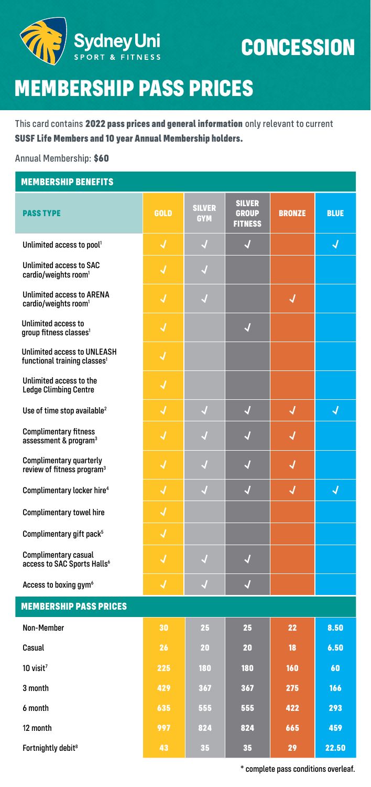

### **CONCESSION**

# **MEMBERSHIP PASS PRICES**

This card contains **2022 pass prices and general information** only relevant to current **SUSF Life Members and 10 year Annual Membership holders.**

Annual Membership: **\$60**

#### **MEMBERSHIP BENEFITS**

| <b>PASS TYPE</b>                                                               | <b>GOLD</b> | <b>SILVER</b><br><b>GYM</b> | <b>SILVER</b><br><b>GROUP</b><br><b>FITNESS</b> | <b>BRONZE</b> | <b>BLUE</b> |
|--------------------------------------------------------------------------------|-------------|-----------------------------|-------------------------------------------------|---------------|-------------|
| Unlimited access to pool <sup>1</sup>                                          | J           | √                           | J                                               |               | J           |
| <b>Unlimited access to SAC</b><br>cardio/weights room <sup>1</sup>             | √           | J                           |                                                 |               |             |
| <b>Unlimited access to ARENA</b><br>cardio/weights room <sup>1</sup>           | √           | √                           |                                                 | √             |             |
| Unlimited access to<br>group fitness classes <sup>1</sup>                      | J           |                             | √                                               |               |             |
| <b>Unlimited access to UNLEASH</b><br>functional training classes <sup>1</sup> | J           |                             |                                                 |               |             |
| Unlimited access to the<br><b>Ledge Climbing Centre</b>                        | √           |                             |                                                 |               |             |
| Use of time stop available <sup>2</sup>                                        | J           | J                           | J                                               | J             | J           |
| <b>Complimentary fitness</b><br>assessment & program <sup>3</sup>              | J           | J                           | √                                               | √             |             |
| <b>Complimentary quarterly</b><br>review of fitness program <sup>3</sup>       | √           | $\sqrt{ }$                  | J                                               | √             |             |
| Complimentary locker hire <sup>4</sup>                                         | J           | J                           | J                                               | J             | J           |
| <b>Complimentary towel hire</b>                                                | J           |                             |                                                 |               |             |
| Complimentary gift pack <sup>5</sup>                                           | J           |                             |                                                 |               |             |
| Complimentary casual<br>access to SAC Sports Halls <sup>6</sup>                | √           | √                           | √                                               |               |             |
| Access to boxing gym <sup>6</sup>                                              | J           | J                           | J                                               |               |             |
| <b>MEMBERSHIP PASS PRICES</b>                                                  |             |                             |                                                 |               |             |
| Non-Member                                                                     | 30          | 25                          | 25                                              | 22            | 8.50        |
| Casual                                                                         | 26          | 20                          | 20                                              | 18            | 6.50        |
| $10$ visit <sup>7</sup>                                                        | 225         | 180                         | 180                                             | 160           | 60          |
| 3 month                                                                        | 429         | 367                         | 367                                             | 275           | 166         |
| 6 month                                                                        | 635         | 555                         | 555                                             | 422           | 293         |
| 12 month                                                                       | 997         | 824                         | 824                                             | 665           | 459         |
| Fortnightly debit <sup>8</sup>                                                 | 43          | 35                          | 35                                              | 29            | 22.50       |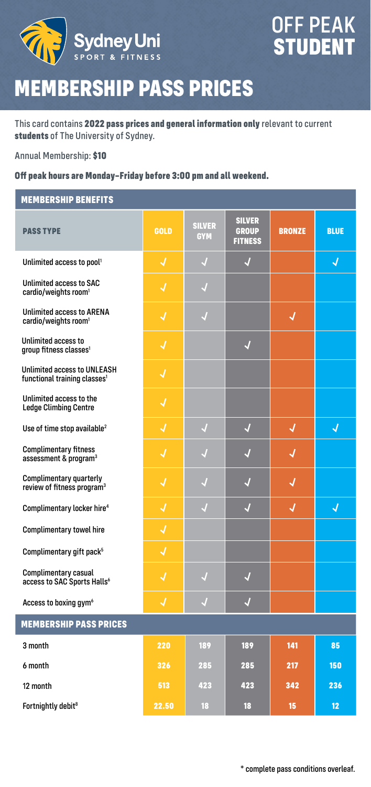

# **MEMBERSHIP PASS PRICES**

This card contains **2022 pass prices and general information only** relevant to current **students** of The University of Sydney.

Annual Membership: **\$10**

#### **Off peak hours are Monday–Friday before 3:00 pm and all weekend.**

#### **MEMBERSHIP BENEFITS**

| <b>PASS TYPE</b>                                                         | <b>GOLD</b> | <b>SILVER</b><br><b>GYM</b> | <b>SILVER</b><br><b>GROUP</b><br><b>FITNESS</b> | <b>BRONZE</b> | <b>BLUE</b> |
|--------------------------------------------------------------------------|-------------|-----------------------------|-------------------------------------------------|---------------|-------------|
| Unlimited access to pool <sup>1</sup>                                    | J           | $\sqrt{2}$                  | J                                               |               | √           |
| Unlimited access to SAC<br>cardio/weights room <sup>1</sup>              | J           | $\sqrt{ }$                  |                                                 |               |             |
| <b>Unlimited access to ARENA</b><br>cardio/weights room <sup>1</sup>     | √           | $\sqrt{ }$                  |                                                 | √             |             |
| Unlimited access to<br>group fitness classes <sup>1</sup>                | √           |                             | $\sqrt{2}$                                      |               |             |
| Unlimited access to UNLEASH<br>functional training classes <sup>1</sup>  | J           |                             |                                                 |               |             |
| Unlimited access to the<br><b>Ledge Climbing Centre</b>                  | J           |                             |                                                 |               |             |
| Use of time stop available <sup>2</sup>                                  | J           | $\sqrt{ }$                  | $\sqrt{2}$                                      | √             | √           |
| <b>Complimentary fitness</b><br>assessment & program <sup>3</sup>        | J           | √                           | √                                               | √             |             |
| <b>Complimentary quarterly</b><br>review of fitness program <sup>3</sup> | J           | J                           | J                                               | J             |             |
| Complimentary locker hire <sup>4</sup>                                   | √           | J                           | √                                               | √             | J           |
| Complimentary towel hire                                                 | J           |                             |                                                 |               |             |
| Complimentary gift pack <sup>5</sup>                                     | √           |                             |                                                 |               |             |
| Complimentary casual<br>access to SAC Sports Halls <sup>6</sup>          | √           | $\sqrt{ }$                  | $\overline{\mathcal{A}}$                        |               |             |
| Access to boxing gym <sup>6</sup>                                        | J           | J                           | J                                               |               |             |
| <b>MEMBERSHIP PASS PRICES</b>                                            |             |                             |                                                 |               |             |
| 3 month                                                                  | 220         | 189                         | 189                                             | 141           | 85          |
| 6 month                                                                  | 326         | 285                         | 285                                             | 217           | 150         |
| 12 month                                                                 | 513         | 423                         | 423                                             | 342           | 236         |
| Fortnightly debit <sup>8</sup>                                           | 22.50       | 18                          | 18                                              | 15            | 12          |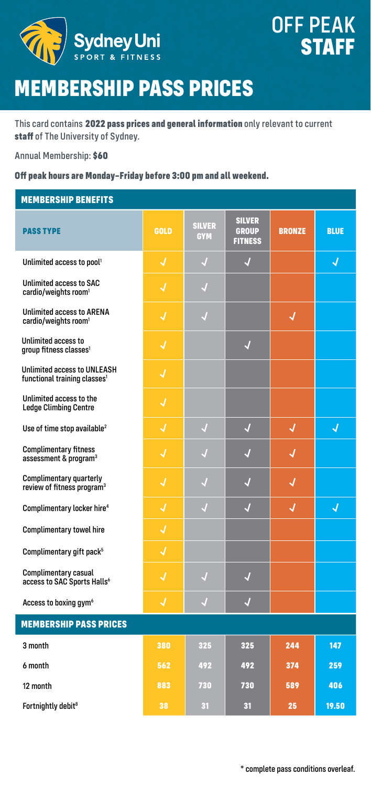

# **MEMBERSHIP PASS PRICES**

This card contains **2022 pass prices and general information** only relevant to current **staff** of The University of Sydney.

Annual Membership: **\$60**

#### **Off peak hours are Monday–Friday before 3:00 pm and all weekend.**

#### **MEMBERSHIP BENEFITS**

| <b>PASS TYPE</b>                                                               | <b>GOLD</b> | <b>SILVER</b><br><b>GYM</b> | <b>SILVER</b><br><b>GROUP</b><br><b>FITNESS</b> | <b>BRONZE</b> | <b>BLUE</b> |
|--------------------------------------------------------------------------------|-------------|-----------------------------|-------------------------------------------------|---------------|-------------|
| Unlimited access to pool <sup>1</sup>                                          | J           | J                           | J                                               |               | J           |
| Unlimited access to SAC<br>cardio/weights room <sup>1</sup>                    | J           | $\sqrt{ }$                  |                                                 |               |             |
| <b>Unlimited access to ARENA</b><br>cardio/weights room <sup>1</sup>           | J           | $\sqrt{ }$                  |                                                 | √             |             |
| Unlimited access to<br>group fitness classes <sup>1</sup>                      | √           |                             | $\overline{\mathcal{A}}$                        |               |             |
| <b>Unlimited access to UNLEASH</b><br>functional training classes <sup>1</sup> | J           |                             |                                                 |               |             |
| Unlimited access to the<br><b>Ledge Climbing Centre</b>                        | J           |                             |                                                 |               |             |
| Use of time stop available <sup>2</sup>                                        | J           | $\overline{J}$              | $\overline{J}$                                  | J             | J           |
| <b>Complimentary fitness</b><br>assessment & program <sup>3</sup>              | J           | J                           | √                                               | √             |             |
| Complimentary quarterly<br>review of fitness program <sup>3</sup>              | J           | $\sqrt{ }$                  | $\overline{\mathcal{A}}$                        | J             |             |
| Complimentary locker hire <sup>4</sup>                                         | J           | J                           | J                                               | √             | J           |
| <b>Complimentary towel hire</b>                                                | J           |                             |                                                 |               |             |
| Complimentary gift pack <sup>5</sup>                                           | √           |                             |                                                 |               |             |
| Complimentary casual<br>access to SAC Sports Halls <sup>6</sup>                | √           | $\sqrt{ }$                  | $\overline{\mathcal{A}}$                        |               |             |
| Access to boxing gym <sup>6</sup>                                              | J           | J                           | J                                               |               |             |
| <b>MEMBERSHIP PASS PRICES</b>                                                  |             |                             |                                                 |               |             |
| 3 month                                                                        | 380         | 325                         | 325                                             | 244           | 147         |
| 6 month                                                                        | 562         | 492                         | 492                                             | 374           | 259         |
| 12 month                                                                       | 883         | 730                         | 730                                             | 589           | 406         |
| Fortnightly debit <sup>8</sup>                                                 | 38          | 31                          | 31                                              | 25            | 19.50       |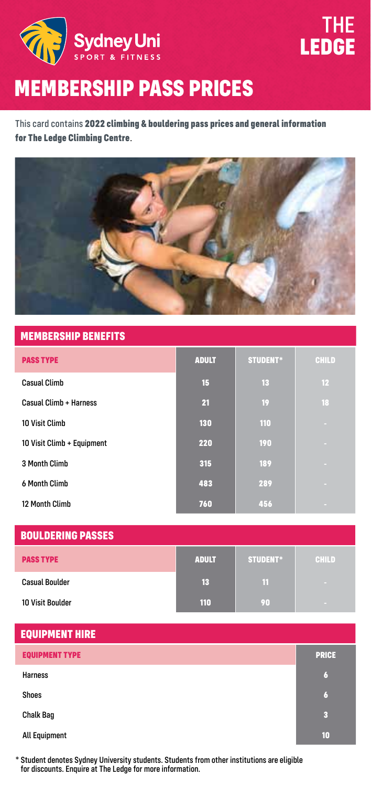

### THE **LEDGE**

# **MEMBERSHIP PASS PRICES**

This card contains **2022 climbing & bouldering pass prices and general information for The Ledge Climbing Centre**.



#### **MEMBERSHIP BENEFITS**

| <b>PASS TYPE</b>           | <b>ADULT</b> | <b>STUDENT*</b> | <b>CHILD</b> |
|----------------------------|--------------|-----------------|--------------|
| <b>Casual Climb</b>        | 15           | 13              | 12           |
| Casual Climb + Harness     | 21           | 19              | 18           |
| 10 Visit Climb             | 130          | 110             | ×            |
| 10 Visit Climb + Equipment | 220          | 190             | <b>COL</b>   |
| 3 Month Climb              | 315          | 189             | <b>COL</b>   |
| 6 Month Climb              | 483          | 289             | <b>COL</b>   |
| 12 Month Climb             | 760          | 456             | <b>COL</b>   |

| <b>BOULDERING PASSES</b> |              |                 |              |
|--------------------------|--------------|-----------------|--------------|
| <b>PASS TYPE</b>         | <b>ADULT</b> | <b>STUDENT*</b> | <b>CHILD</b> |
| <b>Casual Boulder</b>    | 13           | 11              |              |
| <b>10 Visit Boulder</b>  | 110          | 90.             |              |

| <b>EQUIPMENT HIRE</b> |                  |
|-----------------------|------------------|
| <b>EQUIPMENT TYPE</b> | <b>PRICE</b>     |
| <b>Harness</b>        | $\boldsymbol{6}$ |
| Shoes                 | 6                |
| <b>Chalk Bag</b>      | 3                |
| All Equipment         | 10               |

\* Student denotes Sydney University students. Students from other institutions are eligible for discounts. Enquire at The Ledge for more information.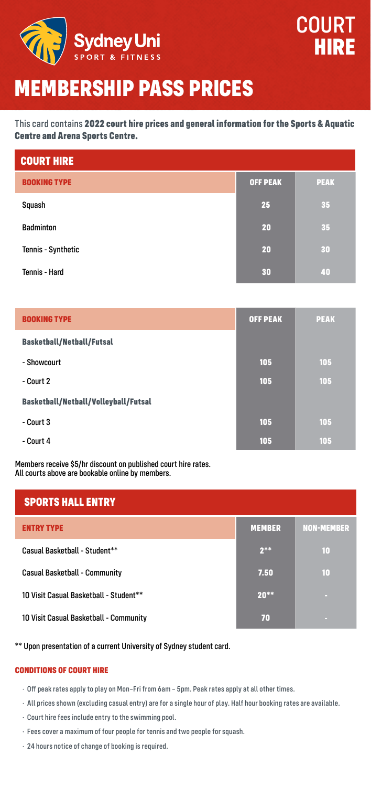

### **MEMBERSHIP PASS PRICES**

This card contains **2022 court hire prices and general information for the Sports & Aquatic Centre and Arena Sports Centre.**

| <b>COURT HIRE</b>   |                 |             |
|---------------------|-----------------|-------------|
| <b>BOOKING TYPE</b> | <b>OFF PEAK</b> | <b>PEAK</b> |
| Squash              | 25              | 35          |
| <b>Badminton</b>    | 20              | 35          |
| Tennis - Synthetic  | 20              | 30          |
| Tennis - Hard       | 30              | 40          |

| <b>BOOKING TYPE</b>                  | <b>OFF PEAK</b> | <b>PEAK</b> |
|--------------------------------------|-----------------|-------------|
| <b>Basketball/Netball/Futsal</b>     |                 |             |
| - Showcourt                          | 105             | 105         |
| - Court 2                            | 105             | 105         |
| Basketball/Netball/Volleyball/Futsal |                 |             |
| - Court 3                            | 105             | 105         |
| - Court 4                            | 105             | 105         |

Members receive \$5/hr discount on published court hire rates. All courts above are bookable online by members.

| <b>SPORTS HALL ENTRY</b>               |               |                   |
|----------------------------------------|---------------|-------------------|
| <b>ENTRY TYPE</b>                      | <b>MEMBER</b> | <b>NON-MEMBER</b> |
| Casual Basketball - Student**          | $2***$        | 10                |
| Casual Basketball - Community          | 7.50          | 10                |
| 10 Visit Casual Basketball - Student** | $20**$        |                   |
| 10 Visit Casual Basketball - Community | 70            |                   |

\*\* Upon presentation of a current University of Sydney student card.

#### **CONDITIONS OF COURT HIRE**

· Off peak rates apply to play on Mon–Fri from 6am – 5pm. Peak rates apply at all other times.

- · All prices shown (excluding casual entry) are for a single hour of play. Half hour booking rates are available.
- · Court hire fees include entry to the swimming pool.
- · Fees cover a maximum of four people for tennis and two people for squash.
- · 24 hours notice of change of booking is required.